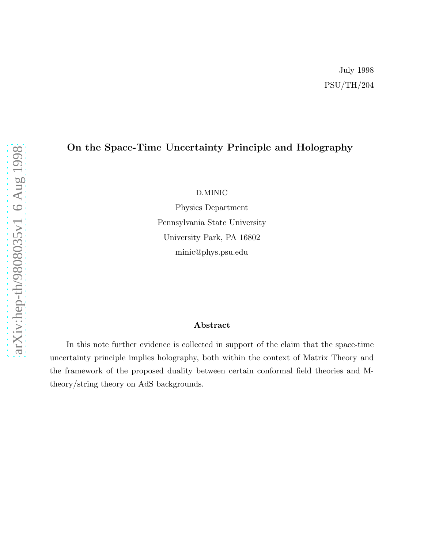# On the Space-Time Uncertainty Principle and Holography

D.MINIC

Physics Department Pennsylvania State University University Park, PA 16802 minic@phys.psu.edu

# Abstract

In this note further evidence is collected in support of the claim that the space-time uncertainty principle implies holography, both within the context of Matrix Theory and the framework of the proposed duality between certain conformal field theories and Mtheory/string theory on AdS backgrounds.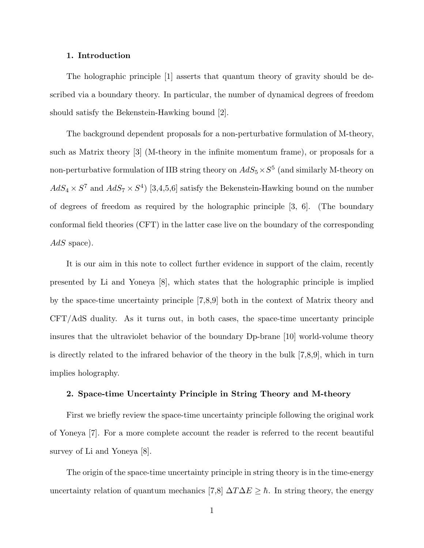# 1. Introduction

The holographic principle [1] asserts that quantum theory of gravity should be described via a boundary theory. In particular, the number of dynamical degrees of freedom should satisfy the Bekenstein-Hawking bound [2].

The background dependent proposals for a non-perturbative formulation of M-theory, such as Matrix theory [3] (M-theory in the infinite momentum frame), or proposals for a non-perturbative formulation of IIB string theory on  $AdS_5 \times S^5$  (and similarly M-theory on  $AdS_4 \times S^7$  and  $AdS_7 \times S^4$  [3,4,5,6] satisfy the Bekenstein-Hawking bound on the number of degrees of freedom as required by the holographic principle [3, 6]. (The boundary conformal field theories (CFT) in the latter case live on the boundary of the corresponding  $AdS$  space).

It is our aim in this note to collect further evidence in support of the claim, recently presented by Li and Yoneya [8], which states that the holographic principle is implied by the space-time uncertainty principle [7,8,9] both in the context of Matrix theory and CFT/AdS duality. As it turns out, in both cases, the space-time uncertanty principle insures that the ultraviolet behavior of the boundary Dp-brane [10] world-volume theory is directly related to the infrared behavior of the theory in the bulk [7,8,9], which in turn implies holography.

## 2. Space-time Uncertainty Principle in String Theory and M-theory

First we briefly review the space-time uncertainty principle following the original work of Yoneya [7]. For a more complete account the reader is referred to the recent beautiful survey of Li and Yoneya  $|8|$ .

The origin of the space-time uncertainty principle in string theory is in the time-energy uncertainty relation of quantum mechanics [7,8]  $\Delta T \Delta E \geq \hbar$ . In string theory, the energy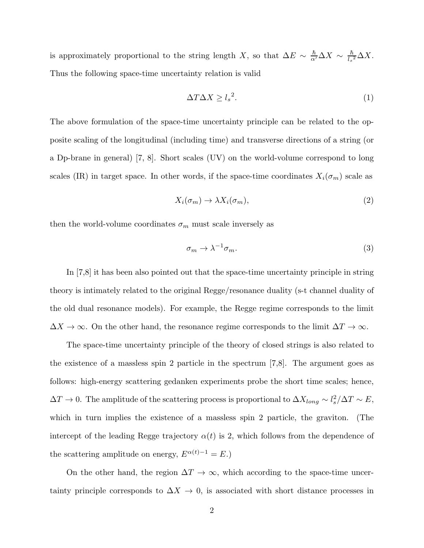is approximately proportional to the string length X, so that  $\Delta E \sim \frac{\hbar}{\alpha'} \Delta X \sim \frac{\hbar}{l_s}$  $\frac{h}{l_s^2}\Delta X.$ Thus the following space-time uncertainty relation is valid

$$
\Delta T \Delta X \ge l_s^2. \tag{1}
$$

The above formulation of the space-time uncertainty principle can be related to the opposite scaling of the longitudinal (including time) and transverse directions of a string (or a Dp-brane in general) [7, 8]. Short scales (UV) on the world-volume correspond to long scales (IR) in target space. In other words, if the space-time coordinates  $X_i(\sigma_m)$  scale as

$$
X_i(\sigma_m) \to \lambda X_i(\sigma_m), \tag{2}
$$

then the world-volume coordinates  $\sigma_m$  must scale inversely as

$$
\sigma_m \to \lambda^{-1} \sigma_m. \tag{3}
$$

In [7,8] it has been also pointed out that the space-time uncertainty principle in string theory is intimately related to the original Regge/resonance duality (s-t channel duality of the old dual resonance models). For example, the Regge regime corresponds to the limit  $\Delta X \to \infty$ . On the other hand, the resonance regime corresponds to the limit  $\Delta T \to \infty$ .

The space-time uncertainty principle of the theory of closed strings is also related to the existence of a massless spin 2 particle in the spectrum [7,8]. The argument goes as follows: high-energy scattering gedanken experiments probe the short time scales; hence,  $\Delta T \to 0$ . The amplitude of the scattering process is proportional to  $\Delta X_{long} \sim l_s^2 / \Delta T \sim E$ , which in turn implies the existence of a massless spin 2 particle, the graviton. (The intercept of the leading Regge trajectory  $\alpha(t)$  is 2, which follows from the dependence of the scattering amplitude on energy,  $E^{\alpha(t)-1} = E$ .)

On the other hand, the region  $\Delta T \to \infty$ , which according to the space-time uncertainty principle corresponds to  $\Delta X \rightarrow 0$ , is associated with short distance processes in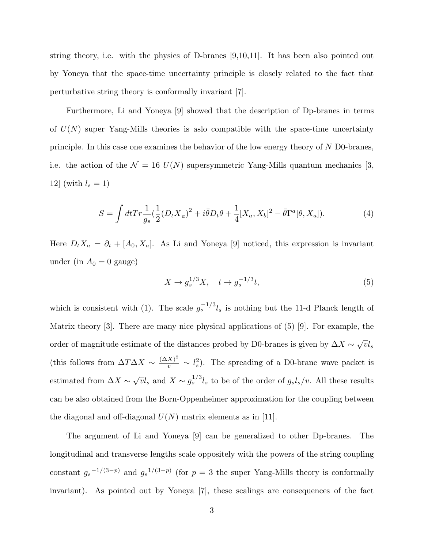string theory, i.e. with the physics of D-branes [9,10,11]. It has been also pointed out by Yoneya that the space-time uncertainty principle is closely related to the fact that perturbative string theory is conformally invariant [7].

Furthermore, Li and Yoneya [9] showed that the description of Dp-branes in terms of  $U(N)$  super Yang-Mills theories is aslo compatible with the space-time uncertainty principle. In this case one examines the behavior of the low energy theory of  $N$  D0-branes, i.e. the action of the  $\mathcal{N} = 16$  U(N) supersymmetric Yang-Mills quantum mechanics [3, 12] (with  $l_s = 1$ )

$$
S = \int dt Tr \frac{1}{g_s} \left(\frac{1}{2} (D_t X_a)^2 + i\bar{\theta} D_t \theta + \frac{1}{4} [X_a, X_b]^2 - \bar{\theta} \Gamma^a [\theta, X_a] \right).
$$
 (4)

Here  $D_t X_a = \partial_t + [A_0, X_a]$ . As Li and Yoneya [9] noticed, this expression is invariant under (in  $A_0 = 0$  gauge)

$$
X \to g_s^{1/3} X, \quad t \to g_s^{-1/3} t,\tag{5}
$$

which is consistent with (1). The scale  $g_s^{-1/3}l_s$  is nothing but the 11-d Planck length of Matrix theory [3]. There are many nice physical applications of (5) [9]. For example, the order of magnitude estimate of the distances probed by D0-branes is given by  $\Delta X \sim \sqrt{v} l_s$ (this follows from  $\Delta T \Delta X \sim \frac{(\Delta X)^2}{v} \sim l_s^2$ ). The spreading of a D0-brane wave packet is estimated from  $\Delta X \sim \sqrt{v}l_s$  and  $X \sim g_s^{1/3}l_s$  to be of the order of  $g_s l_s/v$ . All these results can be also obtained from the Born-Oppenheimer approximation for the coupling between the diagonal and off-diagonal  $U(N)$  matrix elements as in [11].

The argument of Li and Yoneya [9] can be generalized to other Dp-branes. The longitudinal and transverse lengths scale oppositely with the powers of the string coupling constant  $g_s^{-1/(3-p)}$  and  $g_s^{-1/(3-p)}$  (for  $p=3$  the super Yang-Mills theory is conformally invariant). As pointed out by Yoneya [7], these scalings are consequences of the fact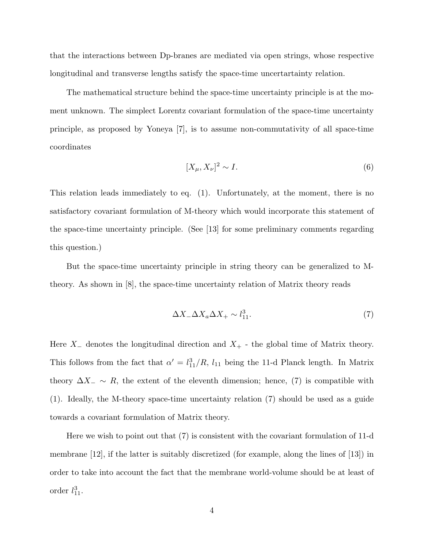that the interactions between Dp-branes are mediated via open strings, whose respective longitudinal and transverse lengths satisfy the space-time uncertartainty relation.

The mathematical structure behind the space-time uncertainty principle is at the moment unknown. The simplect Lorentz covariant formulation of the space-time uncertainty principle, as proposed by Yoneya [7], is to assume non-commutativity of all space-time coordinates

$$
[X_{\mu}, X_{\nu}]^2 \sim I. \tag{6}
$$

This relation leads immediately to eq. (1). Unfortunately, at the moment, there is no satisfactory covariant formulation of M-theory which would incorporate this statement of the space-time uncertainty principle. (See [13] for some preliminary comments regarding this question.)

But the space-time uncertainty principle in string theory can be generalized to Mtheory. As shown in [8], the space-time uncertainty relation of Matrix theory reads

$$
\Delta X_- \Delta X_a \Delta X_+ \sim l_{11}^3. \tag{7}
$$

Here  $X_-\$  denotes the longitudinal direction and  $X_+$  - the global time of Matrix theory. This follows from the fact that  $\alpha' = l_{11}^3/R$ ,  $l_{11}$  being the 11-d Planck length. In Matrix theory  $\Delta X_-\sim R$ , the extent of the eleventh dimension; hence, (7) is compatible with (1). Ideally, the M-theory space-time uncertainty relation (7) should be used as a guide towards a covariant formulation of Matrix theory.

Here we wish to point out that (7) is consistent with the covariant formulation of 11-d membrane [12], if the latter is suitably discretized (for example, along the lines of [13]) in order to take into account the fact that the membrane world-volume should be at least of order  $l_{11}^3$ .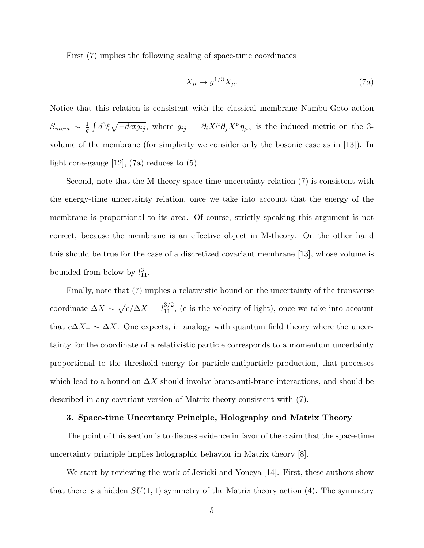First (7) implies the following scaling of space-time coordinates

$$
X_{\mu} \to g^{1/3} X_{\mu}.\tag{7a}
$$

Notice that this relation is consistent with the classical membrane Nambu-Goto action  $S_{mem} \sim \frac{1}{g}$  $\frac{1}{g}\int d^3\xi \sqrt{-det g_{ij}}$ , where  $g_{ij} = \partial_i X^{\mu} \partial_j X^{\nu} \eta_{\mu\nu}$  is the induced metric on the 3volume of the membrane (for simplicity we consider only the bosonic case as in [13]). In light cone-gauge  $[12]$ ,  $(7a)$  reduces to  $(5)$ .

Second, note that the M-theory space-time uncertainty relation (7) is consistent with the energy-time uncertainty relation, once we take into account that the energy of the membrane is proportional to its area. Of course, strictly speaking this argument is not correct, because the membrane is an effective object in M-theory. On the other hand this should be true for the case of a discretized covariant membrane [13], whose volume is bounded from below by  $l_{11}^3$ .

Finally, note that (7) implies a relativistic bound on the uncertainty of the transverse coordinate  $\Delta X \sim \sqrt{c/\Delta X_-}$   $l_{11}^{3/2}$ , (c is the velocity of light), once we take into account that  $c\Delta X_+\sim \Delta X$ . One expects, in analogy with quantum field theory where the uncertainty for the coordinate of a relativistic particle corresponds to a momentum uncertainty proportional to the threshold energy for particle-antiparticle production, that processes which lead to a bound on  $\Delta X$  should involve brane-anti-brane interactions, and should be described in any covariant version of Matrix theory consistent with (7).

# 3. Space-time Uncertanty Principle, Holography and Matrix Theory

The point of this section is to discuss evidence in favor of the claim that the space-time uncertainty principle implies holographic behavior in Matrix theory [8].

We start by reviewing the work of Jevicki and Yoneya [14]. First, these authors show that there is a hidden  $SU(1, 1)$  symmetry of the Matrix theory action (4). The symmetry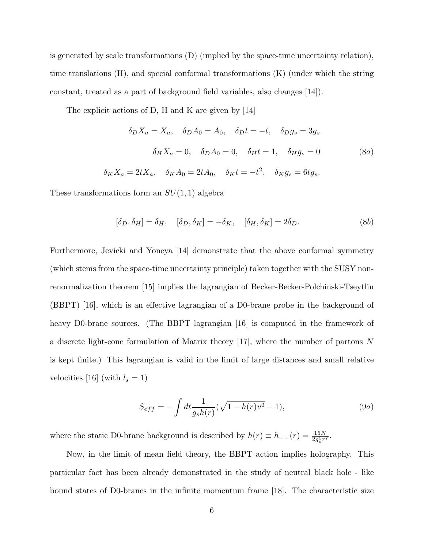is generated by scale transformations (D) (implied by the space-time uncertainty relation), time translations (H), and special conformal transformations (K) (under which the string constant, treated as a part of background field variables, also changes [14]).

The explicit actions of D, H and K are given by [14]

$$
\delta_D X_a = X_a, \quad \delta_D A_0 = A_0, \quad \delta_D t = -t, \quad \delta_D g_s = 3g_s
$$

$$
\delta_H X_a = 0, \quad \delta_D A_0 = 0, \quad \delta_H t = 1, \quad \delta_H g_s = 0
$$

$$
\delta_K X_a = 2t X_a, \quad \delta_K A_0 = 2t A_0, \quad \delta_K t = -t^2, \quad \delta_K g_s = 6t g_s.
$$

$$
(8a)
$$

These transformations form an  $SU(1,1)$  algebra

$$
[\delta_D, \delta_H] = \delta_H, \quad [\delta_D, \delta_K] = -\delta_K, \quad [\delta_H, \delta_K] = 2\delta_D. \tag{8b}
$$

Furthermore, Jevicki and Yoneya [14] demonstrate that the above conformal symmetry (which stems from the space-time uncertainty principle) taken together with the SUSY nonrenormalization theorem [15] implies the lagrangian of Becker-Becker-Polchinski-Tseytlin (BBPT) [16], which is an effective lagrangian of a D0-brane probe in the background of heavy D0-brane sources. (The BBPT lagrangian [16] is computed in the framework of a discrete light-cone formulation of Matrix theory [17], where the number of partons N is kept finite.) This lagrangian is valid in the limit of large distances and small relative velocities [16] (with  $l_s = 1$ )

$$
S_{eff} = -\int dt \frac{1}{g_s h(r)} (\sqrt{1 - h(r)v^2} - 1), \tag{9a}
$$

where the static D0-brane background is described by  $h(r) \equiv h_{--}(r) = \frac{15N}{2g_s^5 r^7}$ .

Now, in the limit of mean field theory, the BBPT action implies holography. This particular fact has been already demonstrated in the study of neutral black hole - like bound states of D0-branes in the infinite momentum frame [18]. The characteristic size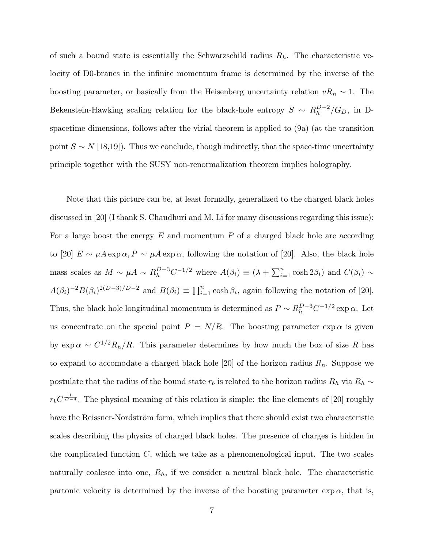of such a bound state is essentially the Schwarzschild radius  $R_h$ . The characteristic velocity of D0-branes in the infinite momentum frame is determined by the inverse of the boosting parameter, or basically from the Heisenberg uncertainty relation  $vR_h \sim 1$ . The Bekenstein-Hawking scaling relation for the black-hole entropy  $S \sim R_h^{D-2}$  $\frac{D-2}{h}/G_D$ , in Dspacetime dimensions, follows after the virial theorem is applied to (9a) (at the transition point  $S \sim N$  [18,19]). Thus we conclude, though indirectly, that the space-time uncertainty principle together with the SUSY non-renormalization theorem implies holography.

Note that this picture can be, at least formally, generalized to the charged black holes discussed in [20] (I thank S. Chaudhuri and M. Li for many discussions regarding this issue): For a large boost the energy  $E$  and momentum  $P$  of a charged black hole are according to [20]  $E \sim \mu A \exp \alpha$ ,  $P \sim \mu A \exp \alpha$ , following the notation of [20]. Also, the black hole mass scales as  $M \sim \mu A \sim R_h^{D-3} C^{-1/2}$  where  $A(\beta_i) \equiv (\lambda + \sum_{i=1}^n \cosh 2\beta_i)$  and  $C(\beta_i) \sim$  $A(\beta_i)^{-2}B(\beta_i)^{2(D-3)/D-2}$  and  $B(\beta_i) \equiv \prod_{i=1}^n \cosh \beta_i$ , again following the notation of [20]. Thus, the black hole longitudinal momentum is determined as  $P \sim R_h^{D-3} C^{-1/2} \exp \alpha$ . Let us concentrate on the special point  $P = N/R$ . The boosting parameter  $\exp \alpha$  is given by  $\exp \alpha \sim C^{1/2} R_h / R$ . This parameter determines by how much the box of size R has to expand to accomodate a charged black hole [20] of the horizon radius  $R_h$ . Suppose we postulate that the radius of the bound state  $r_b$  is related to the horizon radius  $R_h$  via  $R_h \sim$  $r_b C^{\frac{1}{D-4}}$ . The physical meaning of this relation is simple: the line elements of [20] roughly have the Reissner-Nordström form, which implies that there should exist two characteristic scales describing the physics of charged black holes. The presence of charges is hidden in the complicated function  $C$ , which we take as a phenomenological input. The two scales naturally coalesce into one,  $R_h$ , if we consider a neutral black hole. The characteristic partonic velocity is determined by the inverse of the boosting parameter  $\exp \alpha$ , that is,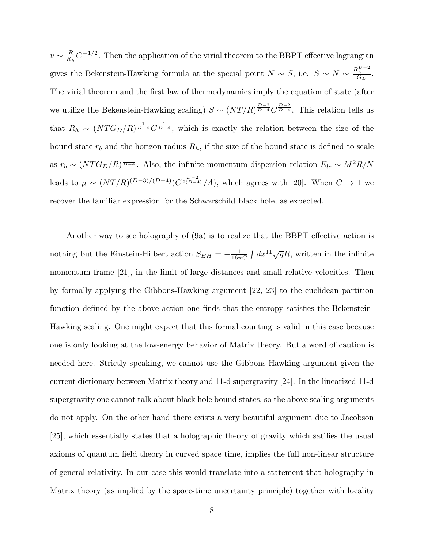$v \sim \frac{R}{R_h}$  $\frac{R}{R_h}C^{-1/2}$ . Then the application of the virial theorem to the BBPT effective lagrangian gives the Bekenstein-Hawking formula at the special point  $N \sim S$ , i.e.  $S \sim N \sim \frac{R_h^{D-2}}{G_D}$ . The virial theorem and the first law of thermodynamics imply the equation of state (after we utilize the Bekenstein-Hawking scaling)  $S \sim (NT/R)^{\frac{D-2}{D-4}} C^{\frac{D-2}{D-4}}$ . This relation tells us that  $R_h \sim (NTG_D/R)^{\frac{1}{D-4}} C^{\frac{1}{D-4}}$ , which is exactly the relation between the size of the bound state  $r_b$  and the horizon radius  $R_h$ , if the size of the bound state is defined to scale as  $r_b \sim (NTG_D/R)^{\frac{1}{D-4}}$ . Also, the infinite momentum dispersion relation  $E_{lc} \sim M^2R/N$ leads to  $\mu \sim (NT/R)^{(D-3)/(D-4)} (C^{\frac{D-2}{2(D-4)}}/A)$ , which agrees with [20]. When  $C \to 1$  we recover the familiar expression for the Schwzrschild black hole, as expected.

Another way to see holography of (9a) is to realize that the BBPT effective action is nothing but the Einstein-Hilbert action  $S_{EH} = -\frac{1}{16\pi}$  $\frac{1}{16\pi G} \int dx^{11} \sqrt{g}R$ , written in the infinite momentum frame [21], in the limit of large distances and small relative velocities. Then by formally applying the Gibbons-Hawking argument [22, 23] to the euclidean partition function defined by the above action one finds that the entropy satisfies the Bekenstein-Hawking scaling. One might expect that this formal counting is valid in this case because one is only looking at the low-energy behavior of Matrix theory. But a word of caution is needed here. Strictly speaking, we cannot use the Gibbons-Hawking argument given the current dictionary between Matrix theory and 11-d supergravity [24]. In the linearized 11-d supergravity one cannot talk about black hole bound states, so the above scaling arguments do not apply. On the other hand there exists a very beautiful argument due to Jacobson [25], which essentially states that a holographic theory of gravity which satifies the usual axioms of quantum field theory in curved space time, implies the full non-linear structure of general relativity. In our case this would translate into a statement that holography in Matrix theory (as implied by the space-time uncertainty principle) together with locality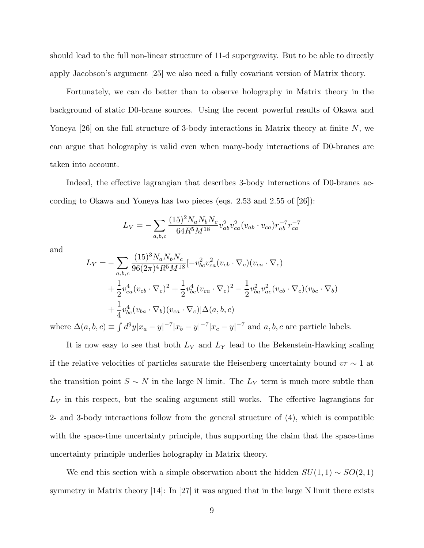should lead to the full non-linear structure of 11-d supergravity. But to be able to directly apply Jacobson's argument [25] we also need a fully covariant version of Matrix theory.

Fortunately, we can do better than to observe holography in Matrix theory in the background of static D0-brane sources. Using the recent powerful results of Okawa and Yoneya  $|26|$  on the full structure of 3-body interactions in Matrix theory at finite N, we can argue that holography is valid even when many-body interactions of D0-branes are taken into account.

Indeed, the effective lagrangian that describes 3-body interactions of D0-branes according to Okawa and Yoneya has two pieces (eqs. 2.53 and 2.55 of [26]):

$$
L_V = -\sum_{a,b,c} \frac{(15)^2 N_a N_b N_c}{64R^5 M^{18}} v_{ab}^2 v_{ca}^2 (v_{ab} \cdot v_{ca}) r_{ab}^{-7} r_{ca}^{-7}
$$

and

$$
L_Y = -\sum_{a,b,c} \frac{(15)^3 N_a N_b N_c}{96(2\pi)^4 R^5 M^{18}} [-v_{bc}^2 v_{ca}^2 (v_{cb} \cdot \nabla_c) (v_{ca} \cdot \nabla_c)
$$
  
+  $\frac{1}{2} v_{ca}^4 (v_{cb} \cdot \nabla_c)^2 + \frac{1}{2} v_{bc}^4 (v_{ca} \cdot \nabla_c)^2 - \frac{1}{2} v_{ba}^2 v_{ac}^2 (v_{cb} \cdot \nabla_c) (v_{bc} \cdot \nabla_b)$   
+  $\frac{1}{4} v_{bc}^4 (v_{ba} \cdot \nabla_b) (v_{ca} \cdot \nabla_c) [\Delta(a, b, c)]$   
which is a) =  $\int d^9x |x - x|^{-7}|x - x|^{-7}|x - |x|^{-7}$  and a b, a are particles lab

where  $\Delta(a, b, c) \equiv \int d^9 y |x_a - y|^{-7} |x_b - y|^{-7} |x_c - y|^{-7}$  and  $a, b, c$  are particle labels.

It is now easy to see that both  $L_V$  and  $L_Y$  lead to the Bekenstein-Hawking scaling if the relative velocities of particles saturate the Heisenberg uncertainty bound  $vr \sim 1$  at the transition point  $S \sim N$  in the large N limit. The  $L_Y$  term is much more subtle than  $L_V$  in this respect, but the scaling argument still works. The effective lagrangians for 2- and 3-body interactions follow from the general structure of (4), which is compatible with the space-time uncertainty principle, thus supporting the claim that the space-time uncertainty principle underlies holography in Matrix theory.

We end this section with a simple observation about the hidden  $SU(1, 1) \sim SO(2, 1)$ symmetry in Matrix theory [14]: In [27] it was argued that in the large N limit there exists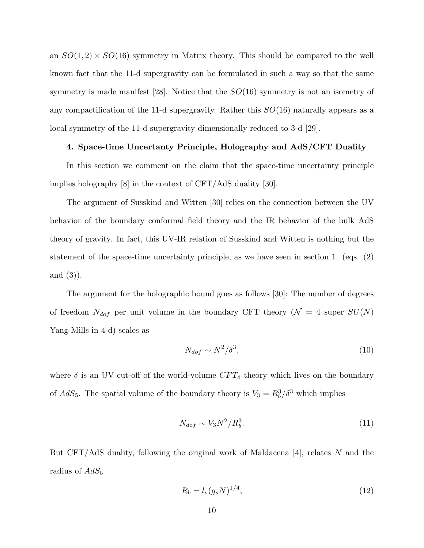an  $SO(1,2) \times SO(16)$  symmetry in Matrix theory. This should be compared to the well known fact that the 11-d supergravity can be formulated in such a way so that the same symmetry is made manifest [28]. Notice that the  $SO(16)$  symmetry is not an isometry of any compactification of the 11-d supergravity. Rather this  $SO(16)$  naturally appears as a local symmetry of the 11-d supergravity dimensionally reduced to 3-d [29].

## 4. Space-time Uncertanty Principle, Holography and AdS/CFT Duality

In this section we comment on the claim that the space-time uncertainty principle implies holography [8] in the context of CFT/AdS duality [30].

The argument of Susskind and Witten [30] relies on the connection between the UV behavior of the boundary conformal field theory and the IR behavior of the bulk AdS theory of gravity. In fact, this UV-IR relation of Susskind and Witten is nothing but the statement of the space-time uncertainty principle, as we have seen in section 1. (eqs. (2) and (3)).

The argument for the holographic bound goes as follows [30]: The number of degrees of freedom  $N_{dof}$  per unit volume in the boundary CFT theory ( $\mathcal{N} = 4$  super  $SU(N)$ ) Yang-Mills in 4-d) scales as

$$
N_{dof} \sim N^2/\delta^3,\tag{10}
$$

where  $\delta$  is an UV cut-off of the world-volume  $CFT_4$  theory which lives on the boundary of  $AdS_5$ . The spatial volume of the boundary theory is  $V_3 = R_b^3/\delta^3$  which implies

$$
N_{dof} \sim V_3 N^2 / R_b^3. \tag{11}
$$

But CFT/AdS duality, following the original work of Maldacena [4], relates N and the radius of  $AdS_5$ 

$$
R_b = l_s (g_s N)^{1/4},\tag{12}
$$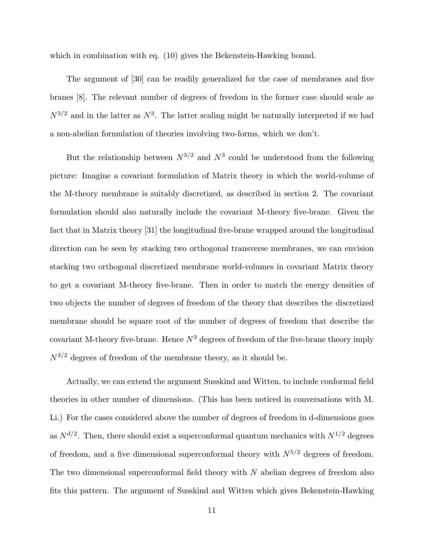which in combination with eq.  $(10)$  gives the Bekenstein-Hawking bound.

The argument of [30] can be readily generalized for the case of membranes and five branes [8]. The relevant number of degrees of freedom in the former case should scale as  $N^{3/2}$  and in the latter as  $N^3$ . The latter scaling might be naturally interpreted if we had a non-abelian formulation of theories involving two-forms, which we don't.

But the relationship between  $N^{3/2}$  and  $N^3$  could be understood from the following picture: Imagine a covariant formulation of Matrix theory in which the world-volume of the M-theory membrane is suitably discretized, as described in section 2. The covariant formulation should also naturally include the covariant M-theory five-brane. Given the fact that in Matrix theory [31] the longitudinal five-brane wrapped around the longitudinal direction can be seen by stacking two orthogonal transverse membranes, we can envision stacking two orthogonal discretized membrane world-volumes in covariant Matrix theory to get a covariant M-theory five-brane. Then in order to match the energy densities of two objects the number of degrees of freedom of the theory that describes the discretized membrane should be square root of the number of degrees of freedom that describe the covariant M-theory five-brane. Hence  $N<sup>3</sup>$  degrees of freedom of the five-brane theory imply  $N^{3/2}$  degrees of freedom of the membrane theory, as it should be.

Actually, we can extend the argument Susskind and Witten, to include conformal field theories in other number of dimensions. (This has been noticed in conversations with M. Li.) For the cases considered above the number of degrees of freedom in d-dimensions goes as  $N^{d/2}$ . Then, there should exist a superconformal quantum mechanics with  $N^{1/2}$  degrees of freedom, and a five dimensional superconformal theory with  $N^{5/2}$  degrees of freedom. The two dimensional superconformal field theory with N abelian degrees of freedom also fits this pattern. The argument of Susskind and Witten which gives Bekenstein-Hawking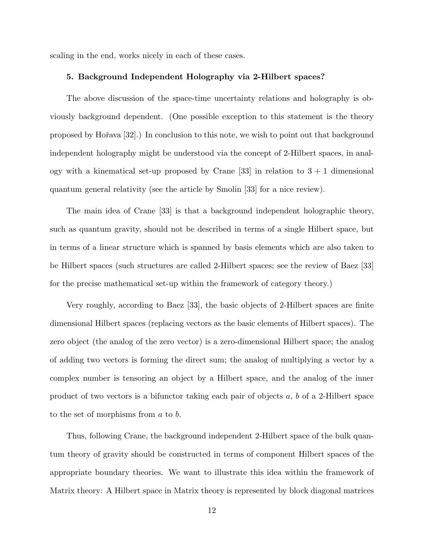scaling in the end, works nicely in each of these cases.

## 5. Background Independent Holography via 2-Hilbert spaces?

The above discussion of the space-time uncertainty relations and holography is obviously background dependent. (One possible exception to this statement is the theory proposed by Ho $\tilde{\text{r}}$ ava [32].) In conclusion to this note, we wish to point out that background independent holography might be understood via the concept of 2-Hilbert spaces, in analogy with a kinematical set-up proposed by Crane  $[33]$  in relation to  $3 + 1$  dimensional quantum general relativity (see the article by Smolin [33] for a nice review).

The main idea of Crane [33] is that a background independent holographic theory, such as quantum gravity, should not be described in terms of a single Hilbert space, but in terms of a linear structure which is spanned by basis elements which are also taken to be Hilbert spaces (such structures are called 2-Hilbert spaces; see the review of Baez [33] for the precise mathematical set-up within the framework of category theory.)

Very roughly, according to Baez [33], the basic objects of 2-Hilbert spaces are finite dimensional Hilbert spaces (replacing vectors as the basic elements of Hilbert spaces). The zero object (the analog of the zero vector) is a zero-dimensional Hilbert space; the analog of adding two vectors is forming the direct sum; the analog of multiplying a vector by a complex number is tensoring an object by a Hilbert space, and the analog of the inner product of two vectors is a bifunctor taking each pair of objects a, b of a 2-Hilbert space to the set of morphisms from a to b.

Thus, following Crane, the background independent 2-Hilbert space of the bulk quantum theory of gravity should be constructed in terms of component Hilbert spaces of the appropriate boundary theories. We want to illustrate this idea within the framework of Matrix theory: A Hilbert space in Matrix theory is represented by block diagonal matrices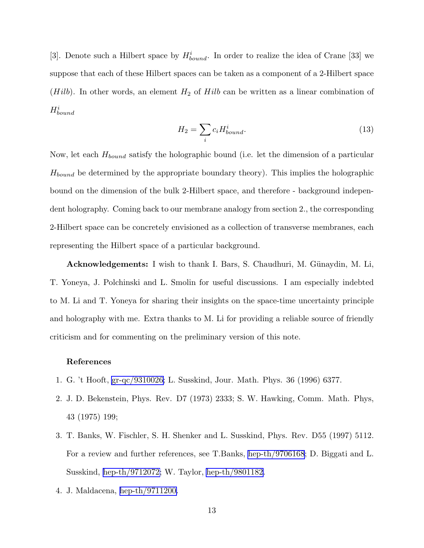[3]. Denote such a Hilbert space by  $H_{bound}^i$ . In order to realize the idea of Crane [33] we suppose that each of these Hilbert spaces can be taken as a component of a 2-Hilbert space (*Hilb*). In other words, an element  $H_2$  of *Hilb* can be written as a linear combination of  $H_{bound}^i$ 

$$
H_2 = \sum_i c_i H_{bound}^i.
$$
\n(13)

Now, let each  $H_{bound}$  satisfy the holographic bound (i.e. let the dimension of a particular  $H_{bound}$  be determined by the appropriate boundary theory). This implies the holographic bound on the dimension of the bulk 2-Hilbert space, and therefore - background independent holography. Coming back to our membrane analogy from section 2., the corresponding 2-Hilbert space can be concretely envisioned as a collection of transverse membranes, each representing the Hilbert space of a particular background.

Acknowledgements: I wish to thank I. Bars, S. Chaudhuri, M. Günaydin, M. Li, T. Yoneya, J. Polchinski and L. Smolin for useful discussions. I am especially indebted to M. Li and T. Yoneya for sharing their insights on the space-time uncertainty principle and holography with me. Extra thanks to M. Li for providing a reliable source of friendly criticism and for commenting on the preliminary version of this note.

## References

- 1. G. 't Hooft, [gr-qc/9310026;](http://arxiv.org/abs/gr-qc/9310026) L. Susskind, Jour. Math. Phys. 36 (1996) 6377.
- 2. J. D. Bekenstein, Phys. Rev. D7 (1973) 2333; S. W. Hawking, Comm. Math. Phys, 43 (1975) 199;
- 3. T. Banks, W. Fischler, S. H. Shenker and L. Susskind, Phys. Rev. D55 (1997) 5112. For a review and further references, see T.Banks, [hep-th/9706168](http://arxiv.org/abs/hep-th/9706168); D. Biggati and L. Susskind, [hep-th/9712072;](http://arxiv.org/abs/hep-th/9712072) W. Taylor, [hep-th/9801182](http://arxiv.org/abs/hep-th/9801182).
- 4. J. Maldacena, [hep-th/9711200.](http://arxiv.org/abs/hep-th/9711200)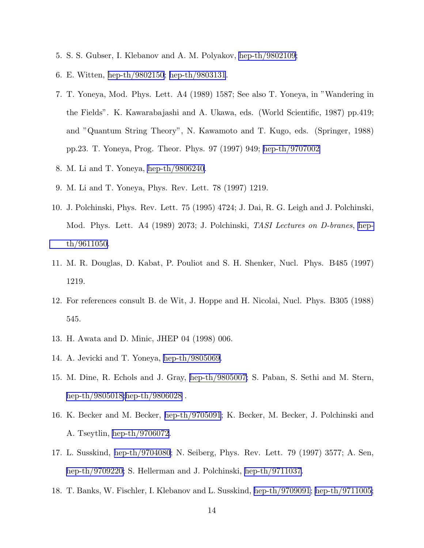- 5. S. S. Gubser, I. Klebanov and A. M. Polyakov, [hep-th/9802109](http://arxiv.org/abs/hep-th/9802109);
- 6. E. Witten, [hep-th/9802150](http://arxiv.org/abs/hep-th/9802150); [hep-th/9803131](http://arxiv.org/abs/hep-th/9803131).
- 7. T. Yoneya, Mod. Phys. Lett. A4 (1989) 1587; See also T. Yoneya, in "Wandering in the Fields". K. Kawarabajashi and A. Ukawa, eds. (World Scientific, 1987) pp.419; and "Quantum String Theory", N. Kawamoto and T. Kugo, eds. (Springer, 1988) pp.23. T. Yoneya, Prog. Theor. Phys. 97 (1997) 949; [hep-th/9707002](http://arxiv.org/abs/hep-th/9707002)
- 8. M. Li and T. Yoneya, [hep-th/9806240](http://arxiv.org/abs/hep-th/9806240).
- 9. M. Li and T. Yoneya, Phys. Rev. Lett. 78 (1997) 1219.
- 10. J. Polchinski, Phys. Rev. Lett. 75 (1995) 4724; J. Dai, R. G. Leigh and J. Polchinski, Mod. Phys. Lett. A4 (1989) 2073; J. Polchinski, TASI Lectures on D-branes, [hep](http://arxiv.org/abs/hep-th/9611050)[th/9611050](http://arxiv.org/abs/hep-th/9611050).
- 11. M. R. Douglas, D. Kabat, P. Pouliot and S. H. Shenker, Nucl. Phys. B485 (1997) 1219.
- 12. For references consult B. de Wit, J. Hoppe and H. Nicolai, Nucl. Phys. B305 (1988) 545.
- 13. H. Awata and D. Minic, JHEP 04 (1998) 006.
- 14. A. Jevicki and T. Yoneya, [hep-th/9805069.](http://arxiv.org/abs/hep-th/9805069)
- 15. M. Dine, R. Echols and J. Gray, [hep-th/9805007;](http://arxiv.org/abs/hep-th/9805007) S. Paban, S. Sethi and M. Stern, [hep-th/9805018;](http://arxiv.org/abs/hep-th/9805018)[hep-th/9806028](http://arxiv.org/abs/hep-th/9806028) .
- 16. K. Becker and M. Becker, [hep-th/9705091](http://arxiv.org/abs/hep-th/9705091); K. Becker, M. Becker, J. Polchinski and A. Tseytlin, [hep-th/9706072](http://arxiv.org/abs/hep-th/9706072).
- 17. L. Susskind, [hep-th/9704080](http://arxiv.org/abs/hep-th/9704080); N. Seiberg, Phys. Rev. Lett. 79 (1997) 3577; A. Sen, [hep-th/9709220;](http://arxiv.org/abs/hep-th/9709220) S. Hellerman and J. Polchinski, [hep-th/9711037](http://arxiv.org/abs/hep-th/9711037).
- 18. T. Banks, W. Fischler, I. Klebanov and L. Susskind, [hep-th/9709091](http://arxiv.org/abs/hep-th/9709091); [hep-th/9711005;](http://arxiv.org/abs/hep-th/9711005)